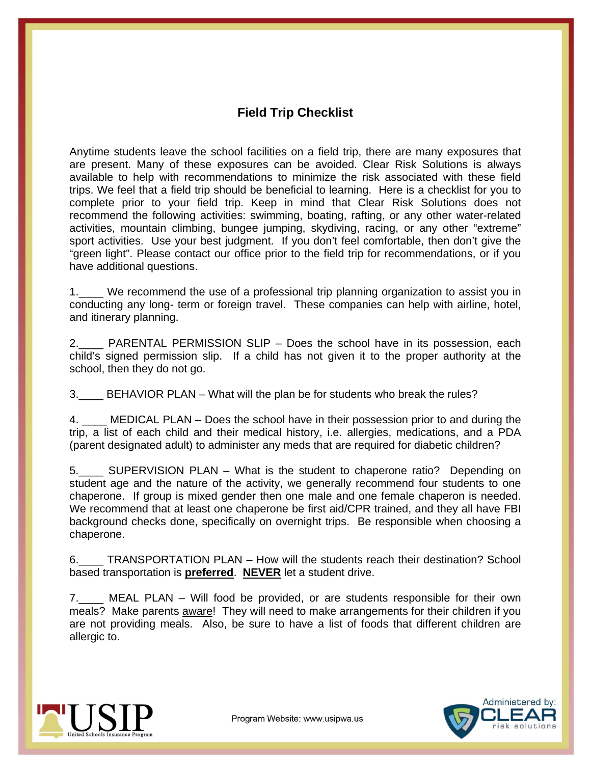# **Field Trip Checklist**

Anytime students leave the school facilities on a field trip, there are many exposures that are present. Many of these exposures can be avoided. Clear Risk Solutions is always available to help with recommendations to minimize the risk associated with these field trips. We feel that a field trip should be beneficial to learning. Here is a checklist for you to complete prior to your field trip. Keep in mind that Clear Risk Solutions does not recommend the following activities: swimming, boating, rafting, or any other water-related activities, mountain climbing, bungee jumping, skydiving, racing, or any other "extreme" sport activities. Use your best judgment. If you don't feel comfortable, then don't give the "green light". Please contact our office prior to the field trip for recommendations, or if you have additional questions.

1.\_\_\_\_ We recommend the use of a professional trip planning organization to assist you in conducting any long- term or foreign travel. These companies can help with airline, hotel, and itinerary planning.

2. PARENTAL PERMISSION SLIP – Does the school have in its possession, each child's signed permission slip. If a child has not given it to the proper authority at the school, then they do not go.

3.\_\_\_\_ BEHAVIOR PLAN – What will the plan be for students who break the rules?

4. \_\_\_\_ MEDICAL PLAN – Does the school have in their possession prior to and during the trip, a list of each child and their medical history, i.e. allergies, medications, and a PDA (parent designated adult) to administer any meds that are required for diabetic children?

5.\_\_\_\_ SUPERVISION PLAN – What is the student to chaperone ratio? Depending on student age and the nature of the activity, we generally recommend four students to one chaperone. If group is mixed gender then one male and one female chaperon is needed. We recommend that at least one chaperone be first aid/CPR trained, and they all have FBI background checks done, specifically on overnight trips. Be responsible when choosing a chaperone.

6. TRANSPORTATION PLAN – How will the students reach their destination? School based transportation is **preferred**. **NEVER** let a student drive.

7.\_\_\_\_ MEAL PLAN – Will food be provided, or are students responsible for their own meals? Make parents **aware!** They will need to make arrangements for their children if you are not providing meals. Also, be sure to have a list of foods that different children are allergic to.



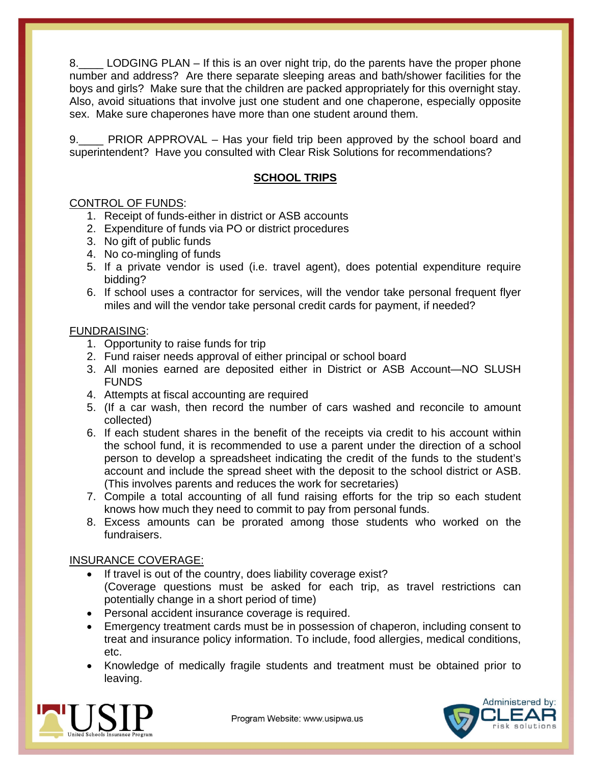8. LODGING PLAN – If this is an over night trip, do the parents have the proper phone number and address? Are there separate sleeping areas and bath/shower facilities for the boys and girls? Make sure that the children are packed appropriately for this overnight stay. Also, avoid situations that involve just one student and one chaperone, especially opposite sex. Make sure chaperones have more than one student around them.

PRIOR APPROVAL – Has your field trip been approved by the school board and superintendent? Have you consulted with Clear Risk Solutions for recommendations?

# **SCHOOL TRIPS**

# CONTROL OF FUNDS:

- 1. Receipt of funds-either in district or ASB accounts
- 2. Expenditure of funds via PO or district procedures
- 3. No gift of public funds
- 4. No co-mingling of funds
- 5. If a private vendor is used (i.e. travel agent), does potential expenditure require bidding?
- 6. If school uses a contractor for services, will the vendor take personal frequent flyer miles and will the vendor take personal credit cards for payment, if needed?

#### FUNDRAISING:

- 1. Opportunity to raise funds for trip
- 2. Fund raiser needs approval of either principal or school board
- 3. All monies earned are deposited either in District or ASB Account—NO SLUSH FUNDS
- 4. Attempts at fiscal accounting are required
- 5. (If a car wash, then record the number of cars washed and reconcile to amount collected)
- 6. If each student shares in the benefit of the receipts via credit to his account within the school fund, it is recommended to use a parent under the direction of a school person to develop a spreadsheet indicating the credit of the funds to the student's account and include the spread sheet with the deposit to the school district or ASB. (This involves parents and reduces the work for secretaries)
- 7. Compile a total accounting of all fund raising efforts for the trip so each student knows how much they need to commit to pay from personal funds.
- 8. Excess amounts can be prorated among those students who worked on the fundraisers.

#### INSURANCE COVERAGE:

- If travel is out of the country, does liability coverage exist?
- (Coverage questions must be asked for each trip, as travel restrictions can potentially change in a short period of time)
- Personal accident insurance coverage is required.
- Emergency treatment cards must be in possession of chaperon, including consent to treat and insurance policy information. To include, food allergies, medical conditions, etc.
- Knowledge of medically fragile students and treatment must be obtained prior to leaving.



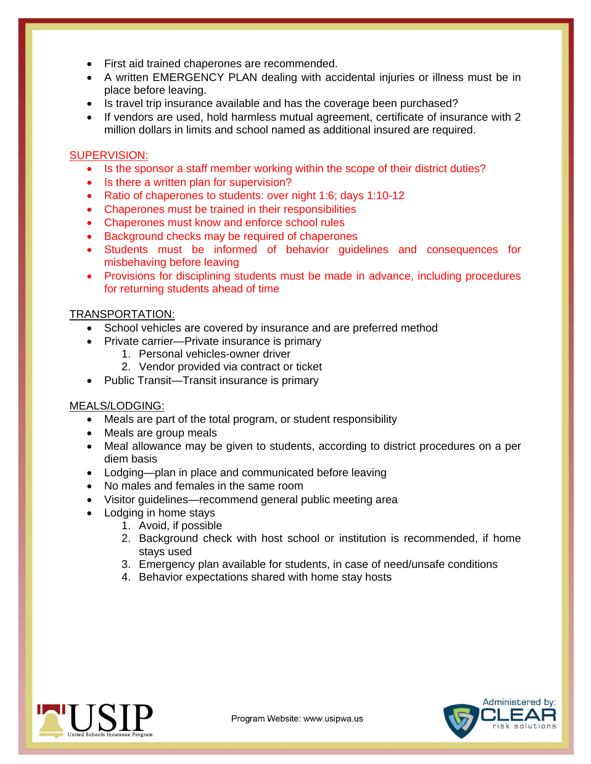- First aid trained chaperones are recommended.
- A written EMERGENCY PLAN dealing with accidental injuries or illness must be in place before leaving.
- Is travel trip insurance available and has the coverage been purchased?
- If vendors are used, hold harmless mutual agreement, certificate of insurance with 2 million dollars in limits and school named as additional insured are required.

# SUPERVISION:

- Is the sponsor a staff member working within the scope of their district duties?
- Is there a written plan for supervision?
- Ratio of chaperones to students: over night 1:6; days 1:10-12
- Chaperones must be trained in their responsibilities
- Chaperones must know and enforce school rules
- Background checks may be required of chaperones
- Students must be informed of behavior guidelines and consequences for misbehaving before leaving
- Provisions for disciplining students must be made in advance, including procedures for returning students ahead of time

# TRANSPORTATION:

- School vehicles are covered by insurance and are preferred method
- Private carrier—Private insurance is primary
	- 1. Personal vehicles-owner driver
	- 2. Vendor provided via contract or ticket
- Public Transit—Transit insurance is primary

#### MEALS/LODGING:

- Meals are part of the total program, or student responsibility
- Meals are group meals
- Meal allowance may be given to students, according to district procedures on a per diem basis
- Lodging—plan in place and communicated before leaving
- No males and females in the same room
- Visitor guidelines—recommend general public meeting area
- Lodging in home stays
	- 1. Avoid, if possible
	- 2. Background check with host school or institution is recommended, if home stays used
	- 3. Emergency plan available for students, in case of need/unsafe conditions
	- 4. Behavior expectations shared with home stay hosts



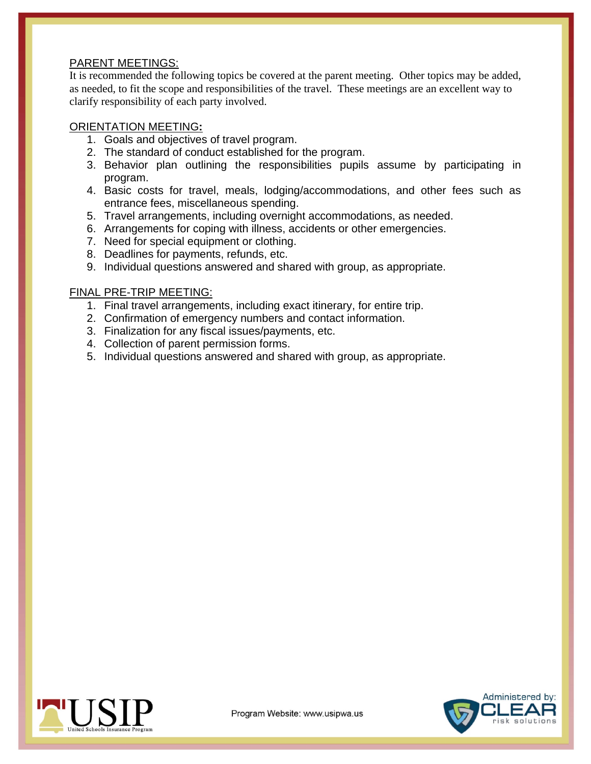#### PARENT MEETINGS:

It is recommended the following topics be covered at the parent meeting. Other topics may be added, as needed, to fit the scope and responsibilities of the travel. These meetings are an excellent way to clarify responsibility of each party involved.

### ORIENTATION MEETING**:**

- 1. Goals and objectives of travel program.
- 2. The standard of conduct established for the program.
- 3. Behavior plan outlining the responsibilities pupils assume by participating in program.
- 4. Basic costs for travel, meals, lodging/accommodations, and other fees such as entrance fees, miscellaneous spending.
- 5. Travel arrangements, including overnight accommodations, as needed.
- 6. Arrangements for coping with illness, accidents or other emergencies.
- 7. Need for special equipment or clothing.
- 8. Deadlines for payments, refunds, etc.
- 9. Individual questions answered and shared with group, as appropriate.

# FINAL PRE-TRIP MEETING:

- 1. Final travel arrangements, including exact itinerary, for entire trip.
- 2. Confirmation of emergency numbers and contact information.
- 3. Finalization for any fiscal issues/payments, etc.
- 4. Collection of parent permission forms.
- 5. Individual questions answered and shared with group, as appropriate.



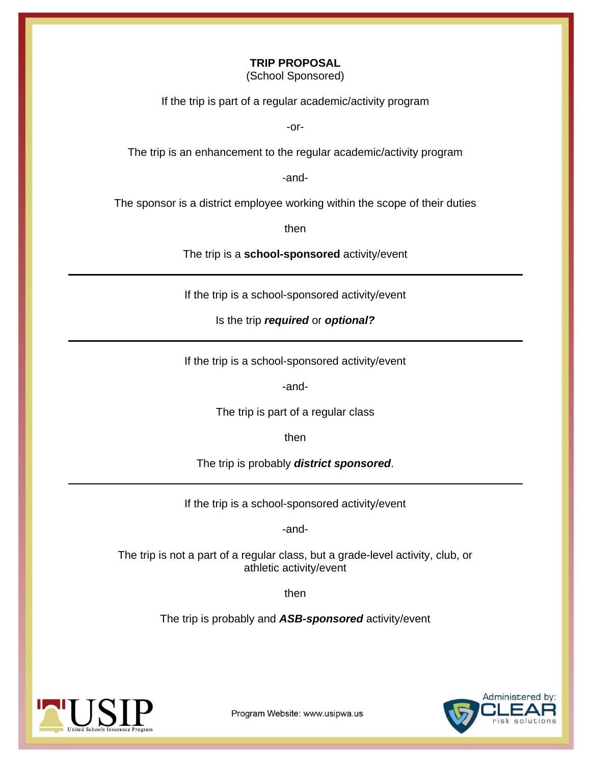#### **TRIP PROPOSAL**

(School Sponsored)

If the trip is part of a regular academic/activity program

-or-

The trip is an enhancement to the regular academic/activity program

-and-

The sponsor is a district employee working within the scope of their duties

then

The trip is a **school-sponsored** activity/event

If the trip is a school-sponsored activity/event

Is the trip *required* or *optional?* 

If the trip is a school-sponsored activity/event

-and-

The trip is part of a regular class

then

The trip is probably *district sponsored*.

If the trip is a school-sponsored activity/event

-and-

The trip is not a part of a regular class, but a grade-level activity, club, or athletic activity/event

then

The trip is probably and *ASB-sponsored* activity/event





Program Website: www.usipwa.us